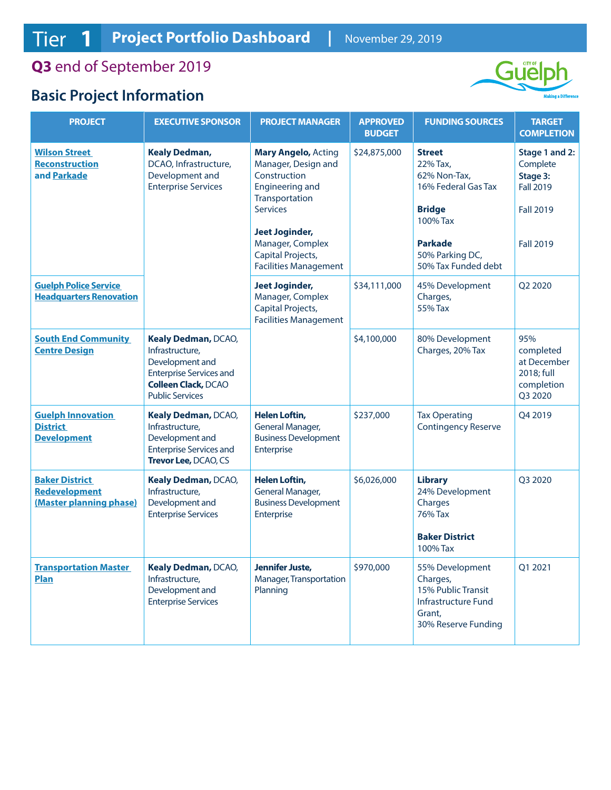**Q3** end of September 2019

## **Basic Project Information**



| <b>PROJECT</b>                                                           | <b>EXECUTIVE SPONSOR</b>                                                                                                                            | <b>PROJECT MANAGER</b>                                                                                                                                                                             | <b>APPROVED</b><br><b>BUDGET</b> | <b>FUNDING SOURCES</b>                                                                                                                                    | <b>TARGET</b><br><b>COMPLETION</b>                                                                 |
|--------------------------------------------------------------------------|-----------------------------------------------------------------------------------------------------------------------------------------------------|----------------------------------------------------------------------------------------------------------------------------------------------------------------------------------------------------|----------------------------------|-----------------------------------------------------------------------------------------------------------------------------------------------------------|----------------------------------------------------------------------------------------------------|
| <b>Wilson Street</b><br><b>Reconstruction</b><br>and Parkade             | <b>Kealy Dedman,</b><br>DCAO, Infrastructure,<br>Development and<br><b>Enterprise Services</b>                                                      | <b>Mary Angelo, Acting</b><br>Manager, Design and<br>Construction<br><b>Engineering and</b><br>Transportation<br><b>Services</b><br><b>Jeet Joginder,</b><br>Manager, Complex<br>Capital Projects, | \$24,875,000                     | <b>Street</b><br>22% Tax,<br>62% Non-Tax,<br>16% Federal Gas Tax<br><b>Bridge</b><br>100% Tax<br><b>Parkade</b><br>50% Parking DC,<br>50% Tax Funded debt | Stage 1 and 2:<br>Complete<br>Stage 3:<br><b>Fall 2019</b><br><b>Fall 2019</b><br><b>Fall 2019</b> |
| <b>Guelph Police Service</b><br><b>Headquarters Renovation</b>           |                                                                                                                                                     | <b>Facilities Management</b><br><b>Jeet Joginder,</b><br>Manager, Complex                                                                                                                          | \$34,111,000                     | 45% Development<br>Charges,                                                                                                                               | Q2 2020                                                                                            |
|                                                                          |                                                                                                                                                     | Capital Projects,<br><b>Facilities Management</b>                                                                                                                                                  |                                  | 55% Tax                                                                                                                                                   |                                                                                                    |
| <b>South End Community</b><br><b>Centre Design</b>                       | Kealy Dedman, DCAO,<br>Infrastructure,<br>Development and<br><b>Enterprise Services and</b><br><b>Colleen Clack, DCAO</b><br><b>Public Services</b> |                                                                                                                                                                                                    | \$4,100,000                      | 80% Development<br>Charges, 20% Tax                                                                                                                       | 95%<br>completed<br>at December<br>2018; full<br>completion<br>Q3 2020                             |
| <b>Guelph Innovation</b><br><b>District</b><br><b>Development</b>        | Kealy Dedman, DCAO,<br>Infrastructure,<br>Development and<br><b>Enterprise Services and</b><br>Trevor Lee, DCAO, CS                                 | <b>Helen Loftin,</b><br>General Manager,<br><b>Business Development</b><br>Enterprise                                                                                                              | \$237,000                        | <b>Tax Operating</b><br><b>Contingency Reserve</b>                                                                                                        | Q4 2019                                                                                            |
| <b>Baker District</b><br><b>Redevelopment</b><br>(Master planning phase) | Kealy Dedman, DCAO,<br>Infrastructure,<br>Development and<br><b>Enterprise Services</b>                                                             | <b>Helen Loftin,</b><br>General Manager,<br><b>Business Development</b><br>Enterprise                                                                                                              | \$6,026,000                      | <b>Library</b><br>24% Development<br>Charges<br>76% Tax<br><b>Baker District</b><br>100% Tax                                                              | Q3 2020                                                                                            |
| <b>Transportation Master</b><br><b>Plan</b>                              | Kealy Dedman, DCAO,<br>Infrastructure,<br>Development and<br><b>Enterprise Services</b>                                                             | Jennifer Juste,<br>Manager, Transportation<br>Planning                                                                                                                                             | \$970,000                        | 55% Development<br>Charges,<br>15% Public Transit<br><b>Infrastructure Fund</b><br>Grant,<br>30% Reserve Funding                                          | Q1 2021                                                                                            |